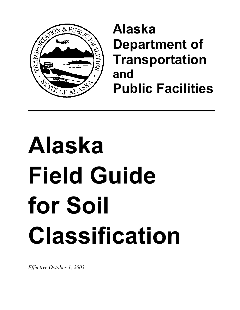

# **Alaska Department of Transportation and Public Facilities**

# **Alaska Field Guide for Soil Classification**

*Effective October 1, 2003*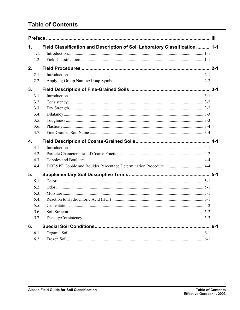# **Table of Contents**

| 1.             | Field Classification and Description of Soil Laboratory Classification  1-1 |  |
|----------------|-----------------------------------------------------------------------------|--|
| 1.1.           |                                                                             |  |
| 1.2.           |                                                                             |  |
| 2.             |                                                                             |  |
| 2.1.           |                                                                             |  |
| 2.2.           |                                                                             |  |
| 3 <sub>1</sub> |                                                                             |  |
| 3.1.           |                                                                             |  |
| 3.2.           |                                                                             |  |
| 3.3.           |                                                                             |  |
| 3.4.           |                                                                             |  |
| 3.5.           |                                                                             |  |
| 3.6.           |                                                                             |  |
| 3.7.           |                                                                             |  |
| 4.             |                                                                             |  |
| 4.1.           |                                                                             |  |
| 4.2.           |                                                                             |  |
| 4.3.           |                                                                             |  |
| 4.4.           |                                                                             |  |
| 5.             |                                                                             |  |
|                |                                                                             |  |
| 5.1.           |                                                                             |  |
| 5.2.           |                                                                             |  |
| 5.3.           |                                                                             |  |
| 5.4.           |                                                                             |  |
| 5.5.           |                                                                             |  |
| 5.6.           |                                                                             |  |
| 5.7.           |                                                                             |  |
| 6.             |                                                                             |  |
| 6.1.           |                                                                             |  |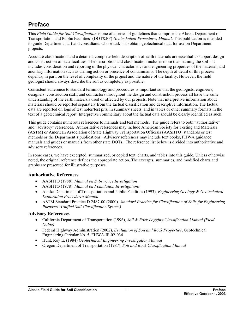# <span id="page-4-0"></span>**Preface**

This *Field Guide for Soil Classification* is one of a series of guidelines that comprise the Alaska Department of Transportation and Public Facilities' (DOT&PF) *Geotechnical Procedures Manual*. This publication is intended to guide Department staff and consultants whose task is to obtain geotechnical data for use on Department projects.

Accurate classification and a detailed, complete field description of earth materials are essential to support design and construction of state facilities. The description and classification includes more than naming the soil – it includes consideration and reporting of the physical characteristics and engineering properties of the material, and ancillary information such as drilling action or presence of contaminants. The depth of detail of this process depends, in part, on the level of complexity of the project and the nature of the facility. However, the field geologist should always describe the soil as completely as possible.

Consistent adherence to standard terminology and procedures is important so that the geologists, engineers, designers, construction staff, and contractors throughout the design and construction process all have the same understanding of the earth materials used or affected by our projects. Note that interpretive information about materials should be reported separately from the factual classification and descriptive information. The factual data are reported on logs of test holes/test pits, in summary sheets, and in tables or other summary formats in the text of a geotechnical report. Interpretive commentary about the factual data should be clearly identified as such.

This guide contains numerous references to manuals and test methods. The guide refers to both "authoritative" and "advisory" references. Authoritative references may include American Society for Testing and Materials (ASTM) or American Association of State Highway Transportation Officials (AASHTO) standards or test methods or the Department's publications. Advisory references may include text books, FHWA guidance manuals and guides or manuals from other state DOTs. The reference list below is divided into authoritative and advisory references.

In some cases, we have excerpted, summarized, or copied text, charts, and tables into this guide. Unless otherwise noted, the original reference defines the appropriate action. The excerpts, summaries, and modified charts and graphs are presented for illustrative purposes.

#### **Authoritative References**

- AASHTO (1988), *Manual on Subsurface Investigation*
- AASHTO (1978), *Manual on Foundation Investigations*
- Alaska Department of Transportation and Public Facilities (1993), *Engineering Geology & Geotechnical Exploration Procedures Manual*
- ASTM Standard Practice D 2487-00 (2000)*, Standard Practice for Classification of Soils for Engineering Purposes (Unified Soil Classification System)*

#### **Advisory References**

- California Department of Transportation (1996), *Soil & Rock Logging Classification Manual (Field Guide)*
- Federal Highway Administration (2002), *Evaluation of Soil and Rock Properties*, Geotechnical Engineering Circular No. 5, FHWA-IF-02-034
- Hunt, Roy E. (1984) *Geotechnical Engineering Investigation Manual*
- Oregon Department of Transportation (1987), *Soil and Rock Classification Manual*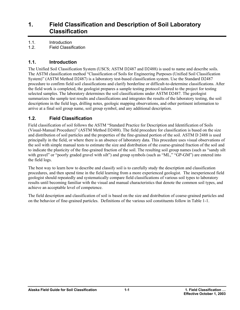### <span id="page-6-0"></span>**1. Field Classification and Description of Soil Laboratory Classification**

1.1. Introduction

1.2. Field Classification

#### **1.1. Introduction**

The Unified Soil Classification System (USCS; ASTM D2487 and D2488) is used to name and describe soils. The ASTM classification method "Classification of Soils for Engineering Purposes (Unified Soil Classification System)" (ASTM Method D2487) is a laboratory test-based classification system. Use the Standard D2487 procedure to confirm field soil classifications and clarify borderline or difficult-to-determine classifications. After the field work is completed, the geologist prepares a sample testing protocol tailored to the project for testing selected samples. The laboratory determines the soil classifications under ASTM D2487. The geologist summarizes the sample test results and classifications and integrates the results of the laboratory testing, the soil descriptions in the field logs, drilling notes, geologic mapping observations, and other pertinent information to arrive at a final soil group name, soil group symbol, and any additional description.

#### **1.2. Field Classification**

Field classification of soil follows the ASTM "Standard Practice for Description and Identification of Soils (Visual-Manual Procedure)" (ASTM Method D2488). The field procedure for classification is based on the size and distribution of soil particles and the properties of the fine-grained portion of the soil. ASTM D 2488 is used principally in the field, or where there is an absence of laboratory data. This procedure uses visual observations of the soil with simple manual tests to estimate the size and distribution of the coarse-grained fraction of the soil and to indicate the plasticity of the fine-grained fraction of the soil. The resulting soil group names (such as "sandy silt with gravel" or "poorly graded gravel with silt") and group symbols (such as "ML," "GP-GM") are entered into the field logs.

The best way to learn how to describe and classify soil is to carefully study the description and classification procedures, and then spend time in the field learning from a more experienced geologist. The inexperienced field geologist should repeatedly and systematically compare field classifications of various soil types to laboratory results until becoming familiar with the visual and manual characteristics that denote the common soil types, and achieve an acceptable level of competence.

The field description and classification of soil is based on the size and distribution of coarse-grained particles and on the behavior of fine-grained particles. Definitions of the various soil constituents follow in Table 1-1.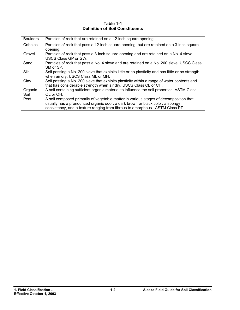#### **Table 1-1 Definition of Soil Constituents**

| <b>Boulders</b> | Particles of rock that are retained on a 12-inch square opening.                                                                                                |
|-----------------|-----------------------------------------------------------------------------------------------------------------------------------------------------------------|
| Cobbles         | Particles of rock that pass a 12-inch square opening, but are retained on a 3-inch square<br>opening.                                                           |
| Gravel          | Particles of rock that pass a 3-inch square opening and are retained on a No. 4 sieve.<br>USCS Class GP or GW.                                                  |
| Sand            | Particles of rock that pass a No. 4 sieve and are retained on a No. 200 sieve. USCS Class<br>SM or SP.                                                          |
| Silt            | Soil passing a No. 200 sieve that exhibits little or no plasticity and has little or no strength<br>when air dry. USCS Class ML or MH.                          |
| Clay            | Soil passing a No. 200 sieve that exhibits plasticity within a range of water contents and<br>that has considerable strength when air dry. USCS Class CL or CH. |
| Organic         | A soil containing sufficient organic material to influence the soil properties. ASTM Class                                                                      |
| Soil            | $OL$ or $OH$ .                                                                                                                                                  |
| Peat            | A soil composed primarily of vegetable matter in various stages of decomposition that                                                                           |
|                 | usually has a pronounced organic odor, a dark brown or black color, a spongy                                                                                    |
|                 | consistency, and a texture ranging from fibrous to amorphous. ASTM Class PT.                                                                                    |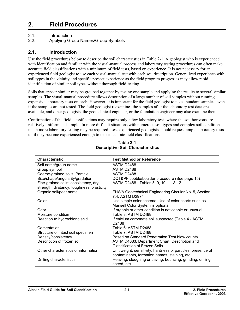# <span id="page-8-0"></span>**2. Field Procedures**

2.1. Introduction

2.2. Applying Group Names/Group Symbols

#### **2.1. Introduction**

Use the field procedures below to describe the soil characteristics in Table 2-1. A geologist who is experienced with identification and familiar with the visual-manual process and laboratory testing procedures can often make accurate field classifications with a minimum of field tests, based on experience. It is not necessary for an experienced field geologist to use each visual-manual test with each soil description. Generalized experience with soil types in the vicinity and specific project experience as the field program progresses may allow rapid identification of similar soil types without thorough field-testing.

Soils that appear similar may be grouped together by testing one sample and applying the results to several similar samples. The visual-manual procedure allows description of a large number of soil samples without running expensive laboratory tests on each. However, it is important for the field geologist to take abundant samples, even if the samples are not tested. The field geologist reexamines the samples after the laboratory test data are available, and other geologists, the geotechnical engineer, or the foundation engineer may also examine them.

Confirmation of the field classifications may require only a few laboratory tests where the soil horizons are relatively uniform and simple. In more difficult situations with numerous soil types and complex soil conditions, much more laboratory testing may be required. Less experienced geologists should request ample laboratory tests until they become experienced enough to make accurate field classifications.

| <b>Characteristic</b>                      | <b>Test Method or Reference</b>                              |
|--------------------------------------------|--------------------------------------------------------------|
| Soil name/group name                       | ASTM D2488                                                   |
| Group symbol                               | ASTM D2488                                                   |
| Coarse-grained soils: Particle             | ASTM D2488                                                   |
| Size/shape/angularity/gradation            | DOT&PF cobble/boulder procedure (See page 15)                |
| Fine-grained soils: consistency, dry       | ASTM D2488 - Tables 5, 9, 10, 11 & 12.                       |
| strength, dilatancy, toughness, plasticity |                                                              |
| Organic soil/peat name                     | FHWA Geotechnical Engineering Circular No. 5, Section        |
|                                            | 7.4, ASTM D2974                                              |
| Color                                      | Use simple color scheme. Use of color charts such as         |
|                                            | Munsell Color System is optional.                            |
| Odor                                       | If organic or other condition is noticeable or unusual       |
| Moisture condition                         | Table 3: ASTM D2488                                          |
| Reaction to hydrochloric acid              | If calcium carbonate soil suspected (Table 4 - ASTM          |
|                                            | D2488)                                                       |
| Cementation                                | Table 6: ASTM D2488                                          |
| Structure of intact soil specimen          | Table 7: ASTM D2488                                          |
| Density/consistency                        | Based on Standard Penetration Test blow counts               |
| Description of frozen soil                 | ASTM D4083, Department Chart: Description and                |
|                                            | <b>Classification of Frozen Soils</b>                        |
| Other characteristics or information       | Unit weight, sensitivity, hardness of particles, presence of |
|                                            | contaminants, formation names, staining, etc.                |
| Drilling characteristics                   | Heaving, sloughing or caving, bouncing, grinding, drilling   |
|                                            | speed, etc.                                                  |

#### **Table 2-1 Descriptive Soil Characteristics**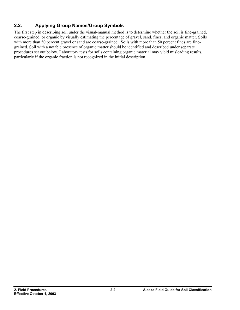#### <span id="page-9-0"></span>**2.2. Applying Group Names/Group Symbols**

The first step in describing soil under the visual-manual method is to determine whether the soil is fine-grained, coarse-grained, or organic by visually estimating the percentage of gravel, sand, fines, and organic matter. Soils with more than 50 percent gravel or sand are coarse-grained. Soils with more than 50 percent fines are finegrained. Soil with a notable presence of organic matter should be identified and described under separate procedures set out below. Laboratory tests for soils containing organic material may yield misleading results, particularly if the organic fraction is not recognized in the initial description.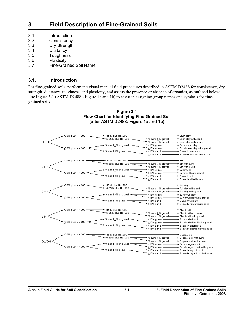## <span id="page-10-0"></span>**3. Field Description of Fine-Grained Soils**

- 3.1. Introduction
- 3.2. Consistency
- 3.3. Dry Strength
- 3.4. Dilatancy
- 3.5. Toughness
- 3.6. Plasticity
- 3.7. Fine-Grained Soil Name

#### **3.1. Introduction**

For fine-grained soils, perform the visual manual field procedures described in ASTM D2488 for consistency, dry strength, dilatancy, toughness, and plasticity, and assess the presence or absence of organics, as outlined below. Use Figure 3-1 (ASTM D2488 - Figure 1a and 1b) to assist in assigning group names and symbols for finegrained soils.

#### **Figure 3-1 Flow Chart for Identifying Fine-Grained Soil (after ASTM D2488: Figure 1a and 1b)**

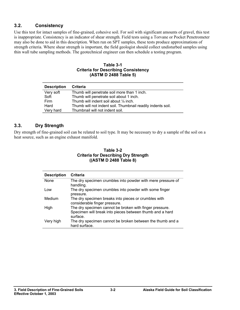#### <span id="page-11-0"></span>**3.2. Consistency**

Use this test for intact samples of fine-grained, cohesive soil. For soil with significant amounts of gravel, this test is inappropriate. Consistency is an indicator of shear strength. Field tests using a Torvane or Pocket Penetrometer may also be done to aid in this description. When run on SPT samples, these tests produce approximations of strength criteria. Where shear strength is important, the field geologist should collect undisturbed samples using thin wall tube sampling methods. The geotechnical engineer can then schedule a testing program.

**Table 3-1 Criteria for Describing Consistency (ASTM D 2488 Table 5)** 

| <b>Description</b> | Criteria                                                    |
|--------------------|-------------------------------------------------------------|
| Very soft          | Thumb will penetrate soil more than 1 inch.                 |
| Soft               | Thumb will penetrate soil about 1 inch.                     |
| Firm               | Thumb will indent soil about 1/4 inch.                      |
| Hard               | Thumb will not indent soil. Thumbnail readily indents soil. |
| Very hard          | Thumbnail will not indent soil.                             |

#### **3.3. Dry Strength**

Dry strength of fine-grained soil can be related to soil type. It may be necessary to dry a sample of the soil on a heat source, such as an engine exhaust manifold.

#### **Table 3-2 Criteria for Describing Dry Strength ((ASTM D 2488 Table 8)**

| <b>Description</b> | Criteria                                                                                                                        |
|--------------------|---------------------------------------------------------------------------------------------------------------------------------|
| None               | The dry specimen crumbles into powder with mere pressure of<br>handling.                                                        |
| Low                | The dry specimen crumbles into powder with some finger<br>pressure.                                                             |
| Medium             | The dry specimen breaks into pieces or crumbles with<br>considerable finger pressure.                                           |
| High               | The dry specimen cannot be broken with finger pressure.<br>Specimen will break into pieces between thumb and a hard<br>surface. |
| Very high          | The dry specimen cannot be broken between the thumb and a<br>hard surface.                                                      |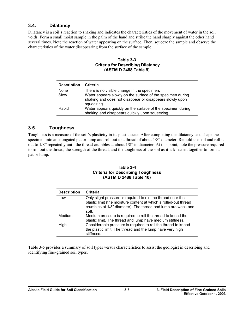#### <span id="page-12-0"></span>**3.4. Dilatancy**

Dilatancy is a soil's reaction to shaking and indicates the characteristics of the movement of water in the soil voids. Form a small moist sample in the palm of the hand and strike the hand sharply against the other hand several times. Note the reaction of water appearing on the surface. Then, squeeze the sample and observe the characteristics of the water disappearing from the surface of the sample.

#### **Table 3-3 Criteria for Describing Dilatancy (ASTM D 2488 Table 9)**

| <b>Description</b> | <b>Criteria</b>                                                                                                             |
|--------------------|-----------------------------------------------------------------------------------------------------------------------------|
| None               | There is no visible change in the specimen.                                                                                 |
| Slow               | Water appears slowly on the surface of the specimen during<br>shaking and does not disappear or disappears slowly upon      |
| Rapid              | squeezing.<br>Water appears quickly on the surface of the specimen during<br>shaking and disappears quickly upon squeezing. |

#### **3.5. Toughness**

Toughness is a measure of the soil's plasticity in its plastic state. After completing the dilatancy test, shape the specimen into an elongated pat or lump and roll out to a thread of about 1/8" diameter. Remold the soil and roll it out to 1/8" repeatedly until the thread crumbles at about 1/8" in diameter. At this point, note the pressure required to roll out the thread, the strength of the thread, and the toughness of the soil as it is kneaded together to form a pat or lump.

#### **Table 3-4 Criteria for Describing Toughness (ASTM D 2488 Table 10)**

| <b>Description</b> | Criteria                                                                                                                                                                                                  |
|--------------------|-----------------------------------------------------------------------------------------------------------------------------------------------------------------------------------------------------------|
| Low                | Only slight pressure is required to roll the thread near the<br>plastic limit (the moisture content at which a rolled-out thread<br>crumbles at 1/8" diameter). The thread and lump are weak and<br>soft. |
| Medium             | Medium pressure is required to roll the thread to knead the<br>plastic limit. The thread and lump have medium stiffness.                                                                                  |
| High               | Considerable pressure is required to roll the thread to knead<br>the plastic limit. The thread and the lump have very high<br>stiffness.                                                                  |

Table 3-5 provides a summary of soil types versus characteristics to assist the geologist in describing and identifying fine-grained soil types.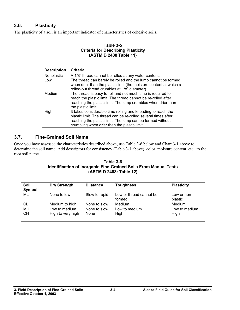#### <span id="page-13-0"></span>**3.6. Plasticity**

The plasticity of a soil is an important indicator of characteristics of cohesive soils.

#### **Table 3-5 Criteria for Describing Plasticity (ASTM D 2488 Table 11)**

| <b>Description</b> | Criteria                                                                                                                                                                                                                                     |
|--------------------|----------------------------------------------------------------------------------------------------------------------------------------------------------------------------------------------------------------------------------------------|
| Nonplastic         | A 1/8" thread cannot be rolled at any water content.                                                                                                                                                                                         |
| Low                | The thread can barely be rolled and the lump cannot be formed<br>when drier than the plastic limit (the moisture content at which a<br>rolled-out thread crumbles at 1/8" diameter).                                                         |
| Medium             | The thread is easy to roll and not much time is required to<br>reach the plastic limit. The thread cannot be re-rolled after<br>reaching the plastic limit. The lump crumbles when drier than<br>the plastic limit.                          |
| High               | It takes considerable time rolling and kneading to reach the<br>plastic limit. The thread can be re-rolled several times after<br>reaching the plastic limit. The lump can be formed without<br>crumbling when drier than the plastic limit. |

#### **3.7. Fine-Grained Soil Name**

Once you have assessed the characteristics described above, use Table 3-6 below and Chart 3-1 above to determine the soil name. Add descriptors for consistency (Table 3-1 above), color, moisture content, etc., to the root soil name.

#### **Table 3-6 Identification of Inorganic Fine-Grained Soils From Manual Tests (ASTM D 2488: Table 12)**

| Soil<br>Symbol        | <b>Dry Strength</b>                                  | <b>Dilatancy</b>                     | <b>Toughness</b>                  | <b>Plasticity</b>               |
|-----------------------|------------------------------------------------------|--------------------------------------|-----------------------------------|---------------------------------|
| ML                    | None to low                                          | Slow to rapid                        | Low or thread cannot be<br>formed | Low or non-<br>plastic          |
| CL<br>MН<br><b>CH</b> | Medium to high<br>Low to medium<br>High to very high | None to slow<br>None to slow<br>None | Medium<br>Low to medium<br>High   | Medium<br>Low to medium<br>High |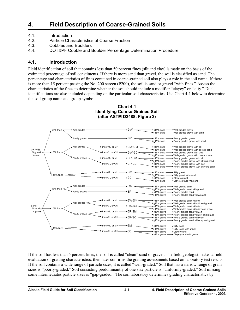# <span id="page-14-0"></span>**4. Field Description of Coarse-Grained Soils**

- 4.1. Introduction
- 4.2. Particle Characteristics of Coarse Fraction
- 4.3. Cobbles and Boulders
- 4.4. DOT&PF Cobble and Boulder Percentage Determination Procedure

#### **4.1. Introduction**

Field identification of soil that contains less than 50 percent fines (silt and clay) is made on the basis of the estimated percentage of soil constituents. If there is more sand than gravel, the soil is classified as sand. The percentage and characteristics of fines contained in coarse-grained soil also plays a role in the soil name. If there is more than 15 percent passing the No. 200 screen (P200), the soil is sand or gravel "with fines." Assess the characteristics of the fines to determine whether the soil should include a modifier "clayey" or "silty." Dual identifications are also included depending on the particular soil characteristics. Use Chart 4-1 below to determine the soil group name and group symbol.



**Chart 4-1 Identifying Coarse-Grained Soil (after ASTM D2488: Figure 2)** 

If the soil has less than 5 percent fines, the soil is called "clean" sand or gravel. The field geologist makes a field evaluation of grading characteristics, then later confirms the grading assessments based on laboratory test results. If the soil contains a wide range of particle sizes, it is called "well-graded." Soil that has a narrow range of grain sizes is "poorly-graded." Soil consisting predominantly of one size particle is "uniformly-graded." Soil missing some intermediates particle sizes is "gap-graded." The soil laboratory determines grading characteristics by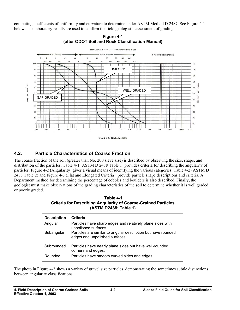<span id="page-15-0"></span>computing coefficients of uniformity and curvature to determine under ASTM Method D 2487. See Figure 4-1 below. The laboratory results are used to confirm the field geologist's assessment of grading.



**Figure 4-1 (after ODOT Soil and Rock Classification Manual)** 

#### **4.2. Particle Characteristics of Coarse Fraction**

The coarse fraction of the soil (greater than No. 200 sieve size) is described by observing the size, shape, and distribution of the particles. Table 4-1 (ASTM D 2488 Table 1) provides criteria for describing the angularity of particles. Figure 4-2 (Angularity) gives a visual means of identifying the various categories. Table 4-2 (ASTM D 2488 Table 2) and Figure 4-3 (Flat and Elongated Criteria), provide particle shape descriptions and criteria. A Department method for determining the percentage of cobbles and boulders is also described. Finally, the geologist must make observations of the grading characteristics of the soil to determine whether it is well graded or poorly graded.

#### **Table 4-1 Criteria for Describing Angularity of Coarse-Grained Particles (ASTM D2488: Table 1)**

| <b>Description</b> | <b>Criteria</b>                                                                                 |
|--------------------|-------------------------------------------------------------------------------------------------|
| Angular            | Particles have sharp edges and relatively plane sides with<br>unpolished surfaces.              |
| Subangular         | Particles are similar to angular description but have rounded<br>edges and unpolished surfaces. |
| Subrounded         | Particles have nearly plane sides but have well-rounded<br>corners and edges.                   |
| Rounded            | Particles have smooth curved sides and edges.                                                   |

The photo in Figure 4-2 shows a variety of gravel size particles, demonstrating the sometimes subtle distinctions between angularity classifications.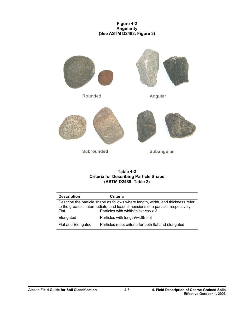#### **Figure 4-2 Angularity (See ASTM D2488: Figure 3)**



#### **Table 4-2 Criteria for Describing Particle Shape (ASTM D2488: Table 2)**

| <b>Description</b>                                                              | <b>Criteria</b>                                                                                                        |  |
|---------------------------------------------------------------------------------|------------------------------------------------------------------------------------------------------------------------|--|
| Describe the particle shape as follows where length, width, and thickness refer |                                                                                                                        |  |
| Flat                                                                            | to the greatest, intermediate, and least dimensions of a particle, respectively.<br>Particles with width/thickness > 3 |  |
| Elongated                                                                       | Particles with length/width $>$ 3                                                                                      |  |
| Flat and Elongated                                                              | Particles meet criteria for both flat and elongated                                                                    |  |
|                                                                                 |                                                                                                                        |  |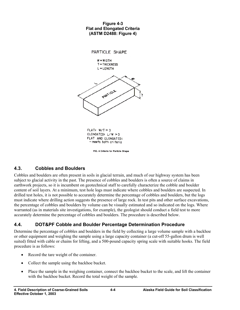#### **Figure 4-3 Flat and Elongated Criteria (ASTM D2488: Figure 4)**

<span id="page-17-0"></span>

FIG. 4 Criteria for Particle Shape

#### **4.3. Cobbles and Boulders**

Cobbles and boulders are often present in soils in glacial terrain, and much of our highway system has been subject to glacial activity in the past. The presence of cobbles and boulders is often a source of claims in earthwork projects, so it is incumbent on geotechnical staff to carefully characterize the cobble and boulder content of soil layers. At a minimum, test hole logs must indicate where cobbles and boulders are suspected. In drilled test holes, it is not possible to accurately determine the percentage of cobbles and boulders, but the logs must indicate where drilling action suggests the presence of large rock. In test pits and other surface excavations, the percentage of cobbles and boulders by volume can be visually estimated and so indicated on the logs. Where warranted (as in materials site investigations, for example), the geologist should conduct a field test to more accurately determine the percentage of cobbles and boulders. The procedure is described below.

#### **4.4. DOT&PF Cobble and Boulder Percentage Determination Procedure**

Determine the percentage of cobbles and boulders in the field by collecting a large volume sample with a backhoe or other equipment and weighing the sample using a large capacity container (a cut-off 55-gallon drum is well suited) fitted with cable or chains for lifting, and a 500-pound capacity spring scale with suitable hooks. The field procedure is as follows:

- Record the tare weight of the container.
- Collect the sample using the backhoe bucket.
- Place the sample in the weighing container, connect the backhoe bucket to the scale, and lift the container with the backhoe bucket. Record the total weight of the sample.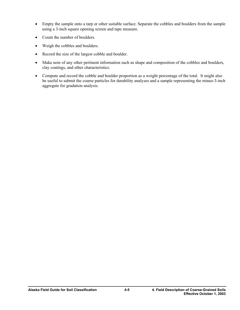- Empty the sample onto a tarp or other suitable surface. Separate the cobbles and boulders from the sample using a 3-inch square opening screen and tape measure.
- Count the number of boulders.
- Weigh the cobbles and boulders.
- Record the size of the largest cobble and boulder.
- Make note of any other pertinent information such as shape and composition of the cobbles and boulders, clay coatings, and other characteristics.
- Compute and record the cobble and boulder proportion as a weight percentage of the total. It might also be useful to submit the coarse particles for durability analyses and a sample representing the minus-3-inch aggregate for gradation analysis.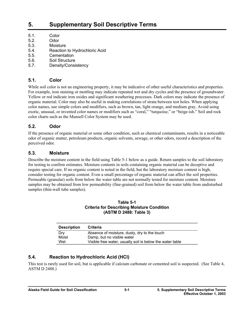# <span id="page-20-0"></span>**5. Supplementary Soil Descriptive Terms**

- 5.1. Color
- 5.2. Odor
- 5.3. Moisture
- 5.4. Reaction to Hydrochloric Acid
- 5.5. Cementation
- 5.6. Soil Structure
- 5.7. Density/Consistency

#### **5.1. Color**

While soil color is not an engineering property, it may be indicative of other useful characteristics and properties. For example, iron staining or mottling may indicate repeated wet and dry cycles and the presence of groundwater. Yellow or red indicate iron oxides and significant weathering processes. Dark colors may indicate the presence of organic material. Color may also be useful in making correlations of strata between test holes. When applying color names, use simple colors and modifiers, such as brown, tan, light orange, and medium gray. Avoid using exotic, unusual, or invented color names or modifiers such as "coral," "turquoise," or "beige-ish." Soil and rock color charts such as the Munsell Color System may be used.

#### **5.2. Odor**

If the presence of organic material or some other condition, such as chemical contaminants, results in a noticeable odor of organic matter, petroleum products, organic solvents, sewage, or other odors, record a description of the perceived odor.

#### **5.3. Moisture**

Describe the moisture content in the field using Table 5-1 below as a guide. Return samples to the soil laboratory for testing to confirm estimates. Moisture contents in soils containing organic material can be deceptive and require special care. If no organic content is noted in the field, but the laboratory moisture content is high, consider testing for organic content. Even a small percentage of organic material can affect the soil properties. Permeable (granular) soils from below the water table are not normally tested for moisture content. Moisture samples may be obtained from low permeability (fine-grained) soil from below the water table from undisturbed samples (thin-wall tube samples).

#### **Table 5-1 Criteria for Describing Moisture Condition (ASTM D 2488: Table 3)**

| <b>Description</b> | Criteria                                                  |
|--------------------|-----------------------------------------------------------|
| Dry                | Absence of moisture, dusty, dry to the touch              |
| Moist              | Damp, but no visible water                                |
| Wet                | Visible free water, usually soil is below the water table |

#### **5.4. Reaction to Hydrochloric Acid (HCl)**

This test is rarely used for soil, but is applicable if calcium carbonate or cemented soil is suspected. (See Table 4, ASTM D 2488.)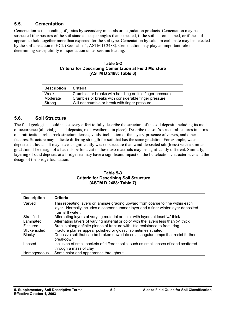#### <span id="page-21-0"></span>**5.5. Cementation**

Cementation is the bonding of grains by secondary minerals or degradation products. Cementation may be suspected if exposures of the soil stand at steeper angles than expected, if the soil is iron-stained, or if the soil appears to hold together more than expected for the soil type. Cementation by calcium carbonate may be detected by the soil's reaction to HCl. (See Table 4, ASTM D 2488). Cementation may play an important role in determining susceptibility to liquefaction under seismic loading.

#### **Table 5-2 Criteria for Describing Cementation at Field Moisture (ASTM D 2488: Table 6)**

| <b>Description</b> | <b>Criteria</b>                                            |
|--------------------|------------------------------------------------------------|
| Weak               | Crumbles or breaks with handling or little finger pressure |
| Moderate           | Crumbles or breaks with considerable finger pressure       |
| Strong             | Will not crumble or break with finger pressure             |

#### **5.6. Soil Structure**

The field geologist should make every effort to fully describe the structure of the soil deposit, including its mode of occurrence (alluvial, glacial deposits, rock weathered in place). Describe the soil's structural features in terms of stratification, relict rock structure, lenses, voids, inclination of the layers, presence of varves, and other features. Structure may indicate differing strength for soil that has the same gradation. For example, waterdeposited alluvial silt may have a significantly weaker structure than wind-deposited silt (loess) with a similar gradation. The design of a back slope for a cut in these two materials may be significantly different. Similarly, layering of sand deposits at a bridge site may have a significant impact on the liquefaction characteristics and the design of the bridge foundation.

#### **Table 5-3 Criteria for Describing Soil Structure (ASTM D 2488: Table 7)**

| <b>Description</b>                                            | Criteria                                                                                                                                                                                                                                                                                                                                                                                                                              |
|---------------------------------------------------------------|---------------------------------------------------------------------------------------------------------------------------------------------------------------------------------------------------------------------------------------------------------------------------------------------------------------------------------------------------------------------------------------------------------------------------------------|
| Varved                                                        | Thin repeating layers or laminae grading upward from coarse to fine within each<br>layer. Normally includes a coarser summer layer and a finer winter layer deposited<br>from still water.                                                                                                                                                                                                                                            |
| Stratified<br>Laminated<br>Fissured<br>Slickensided<br>Blocky | Alternating layers of varying material or color with layers at least $\frac{1}{4}$ thick<br>Alternating layers of varying material or color with the layers less than 1/4" thick<br>Breaks along definite planes of fracture with little resistance to fracturing<br>Fracture planes appear polished or glossy, sometimes striated<br>Cohesive soil that can be broken down into small angular lumps that resist further<br>breakdown |
| Lensed                                                        | Inclusion of small pockets of different soils, such as small lenses of sand scattered<br>through a mass of clay                                                                                                                                                                                                                                                                                                                       |
| Homogeneous                                                   | Same color and appearance throughout                                                                                                                                                                                                                                                                                                                                                                                                  |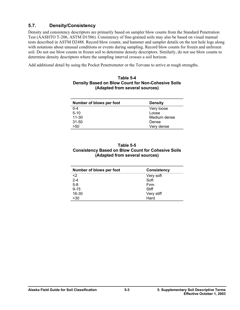#### <span id="page-22-0"></span>**5.7. Density/Consistency**

Density and consistency descriptors are primarily based on sampler blow counts from the Standard Penetration Test (AASHTO T-206, ASTM D1586). Consistency of fine-grained soils may also be based on visual manual tests described in ASTM D2488. Record blow counts, and hammer and sampler details on the test hole logs along with notations about unusual conditions or events during sampling. Record blow counts for frozen and unfrozen soil. Do not use blow counts in frozen soil to determine density descriptors. Similarly, do not use blow counts to determine density descriptors where the sampling interval crosses a soil horizon.

Add additional detail by using the Pocket Penetrometer or the Torvane to arrive at rough strengths.

#### **Table 5-4 Density Based on Blow Count for Non-Cohesive Soils (Adapted from several sources)**

| Number of blows per foot | <b>Density</b> |
|--------------------------|----------------|
| $0 - 4$                  | Very loose     |
| $5 - 10$                 | Loose          |
| $11 - 30$                | Medium dense   |
| $31 - 50$                | Dense          |
| >50                      | Very dense     |

#### **Table 5-5 Consistency Based on Blow Count for Cohesive Soils (Adapted from several sources)**

| Number of blows per foot | <b>Consistency</b> |  |  |  |
|--------------------------|--------------------|--|--|--|
| <2                       | Very soft          |  |  |  |
| $2 - 4$                  | Soft               |  |  |  |
| $5-8$                    | Firm               |  |  |  |
| $9 - 15$                 | Stiff              |  |  |  |
| 16-30                    | Very stiff         |  |  |  |
| >30                      | Hard               |  |  |  |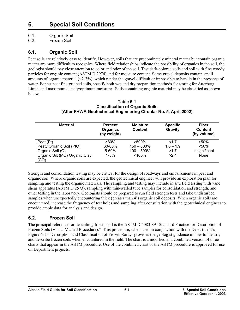# <span id="page-24-0"></span>**6. Special Soil Conditions**

6.1. Organic Soil

6.2. Frozen Soil

#### **6.1. Organic Soil**

Peat soils are relatively easy to identify. However, soils that are predominately mineral matter but contain organic matter are more difficult to recognize. Where field relationships indicate the possibility of organics in the soil, the geologist should pay close attention to color and odor of the soil. Test dark-colored soils and soil with fine woody particles for organic content (ASTM D 2974) and for moisture content. Some gravel deposits contain small amounts of organic material  $(\leq 2.3\%)$ , which render the gravel difficult or impossible to handle in the presence of water. For suspect fine-grained soils, specify both wet and dry preparation methods for testing for Atterberg Limits and maximum density/optimum moisture. Soils containing organic material may be classified as shown below.

| <b>Material</b>                        | <b>Percent</b><br>Organics<br>(by weight) | <b>Moisture</b><br><b>Content</b> | <b>Specific</b><br>Gravity | Fiber<br><b>Content</b><br>(by volume)<br>$>50\%$ |  |
|----------------------------------------|-------------------------------------------|-----------------------------------|----------------------------|---------------------------------------------------|--|
| Peat (Pt)                              | >80%                                      | $>500\%$                          | 1.7                        |                                                   |  |
| Peaty Organic Soil (PtO)               | 60-80%                                    | $150 - 800\%$                     | $1.6 - 1.9$                | < 50%                                             |  |
| Organic Soil (O)                       | 5-60%                                     | $100 - 500\%$                     | >1.7                       | Insignificant                                     |  |
| Organic Silt (MO) Organic Clay<br>(CO) | $1 - 5%$                                  | $~100\%$                          | >2.4                       | None                                              |  |

#### **Table 6-1 Classification of Organic Soils (After FHWA Geotechnical Engineering Circular No. 5, April 2002)**

Strength and consolidation testing may be critical for the design of roadways and embankments in peat and organic soil. Where organic soils are expected, the geotechnical engineer will provide an exploration plan for sampling and testing the organic materials. The sampling and testing may include in situ field testing with vane shear apparatus (ASTM D 2573), sampling with thin-walled tube sampler for consolidation and strength, and other testing in the laboratory. Geologists should be prepared to run field strength tests and take undisturbed samples when unexpectedly encountering thick (greater than 4') organic soil deposits. When organic soils are encountered, increase the frequency of test holes and sampling after consultation with the geotechnical engineer to provide ample data for analysis and design.

#### **6.2. Frozen Soil**

The principal reference for describing frozen soil is the ASTM D 4083-89 "Standard Practice for Description of Frozen Soils (Visual Manual Procedure)." This procedure, when used in conjunction with the Department's Figure 6-1: "Description and Classification of Frozen Soils," provides the geologist guidance in how to identify and describe frozen soils when encountered in the field. The chart is a modified and combined version of three charts that appear in the ASTM procedure. Use of the combined chart or the ASTM procedure is approved for use on Department projects.